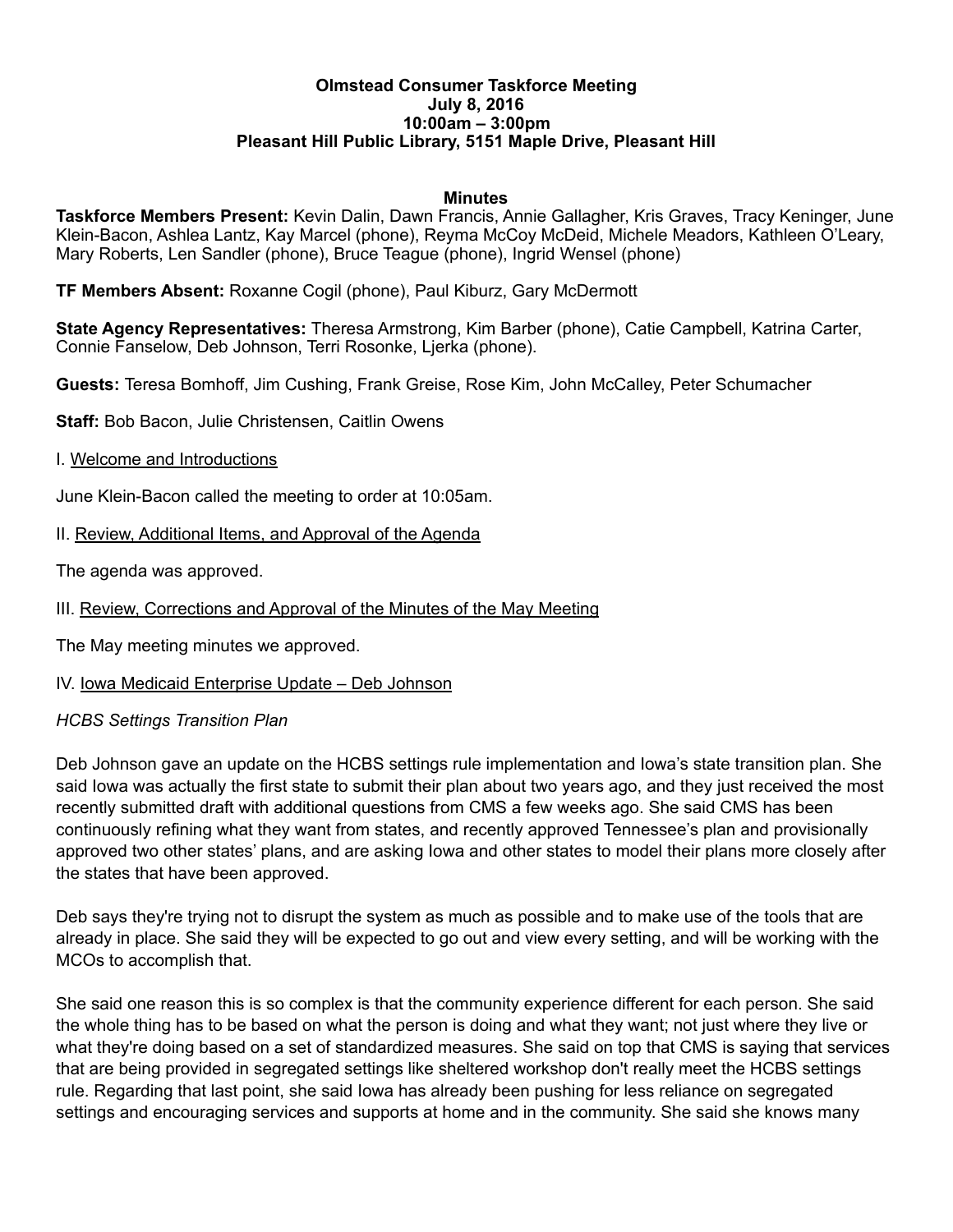#### **Olmstead Consumer Taskforce Meeting July 8, 2016 10:00am – 3:00pm Pleasant Hill Public Library, 5151 Maple Drive, Pleasant Hill**

#### **Minutes**

**Taskforce Members Present:** Kevin Dalin, Dawn Francis, Annie Gallagher, Kris Graves, Tracy Keninger, June Klein-Bacon, Ashlea Lantz, Kay Marcel (phone), Reyma McCoy McDeid, Michele Meadors, Kathleen O'Leary, Mary Roberts, Len Sandler (phone), Bruce Teague (phone), Ingrid Wensel (phone)

**TF Members Absent:** Roxanne Cogil (phone), Paul Kiburz, Gary McDermott

**State Agency Representatives:** Theresa Armstrong, Kim Barber (phone), Catie Campbell, Katrina Carter, Connie Fanselow, Deb Johnson, Terri Rosonke, Ljerka (phone).

**Guests:** Teresa Bomhoff, Jim Cushing, Frank Greise, Rose Kim, John McCalley, Peter Schumacher

**Staff:** Bob Bacon, Julie Christensen, Caitlin Owens

I. Welcome and Introductions

June Klein-Bacon called the meeting to order at 10:05am.

II. Review, Additional Items, and Approval of the Agenda

The agenda was approved.

III. Review, Corrections and Approval of the Minutes of the May Meeting

The May meeting minutes we approved.

IV. Iowa Medicaid Enterprise Update – Deb Johnson

#### *HCBS Settings Transition Plan*

Deb Johnson gave an update on the HCBS settings rule implementation and Iowa's state transition plan. She said Iowa was actually the first state to submit their plan about two years ago, and they just received the most recently submitted draft with additional questions from CMS a few weeks ago. She said CMS has been continuously refining what they want from states, and recently approved Tennessee's plan and provisionally approved two other states' plans, and are asking Iowa and other states to model their plans more closely after the states that have been approved.

Deb says they're trying not to disrupt the system as much as possible and to make use of the tools that are already in place. She said they will be expected to go out and view every setting, and will be working with the MCOs to accomplish that.

She said one reason this is so complex is that the community experience different for each person. She said the whole thing has to be based on what the person is doing and what they want; not just where they live or what they're doing based on a set of standardized measures. She said on top that CMS is saying that services that are being provided in segregated settings like sheltered workshop don't really meet the HCBS settings rule. Regarding that last point, she said Iowa has already been pushing for less reliance on segregated settings and encouraging services and supports at home and in the community. She said she knows many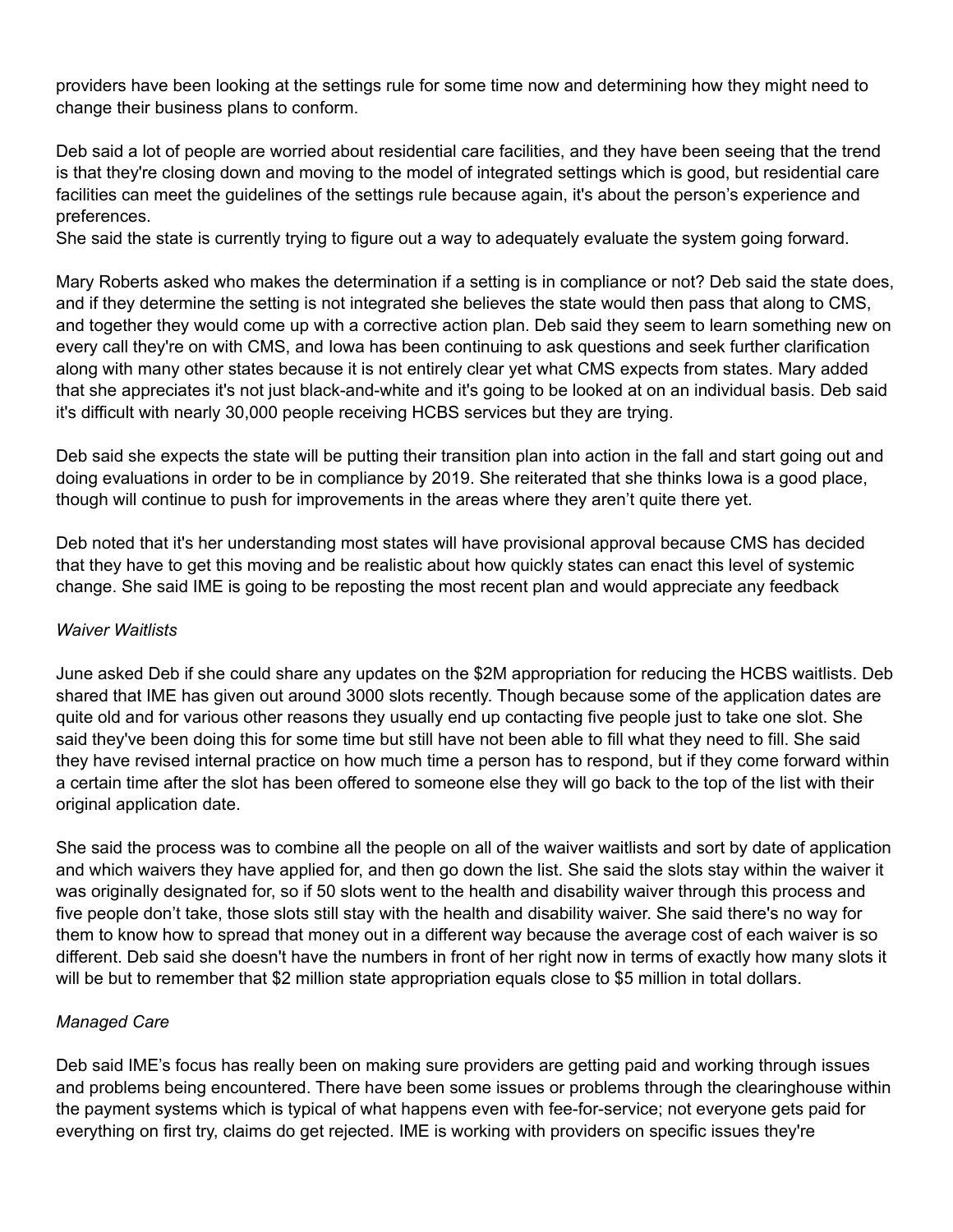providers have been looking at the settings rule for some time now and determining how they might need to change their business plans to conform.

Deb said a lot of people are worried about residential care facilities, and they have been seeing that the trend is that they're closing down and moving to the model of integrated settings which is good, but residential care facilities can meet the guidelines of the settings rule because again, it's about the person's experience and preferences.

She said the state is currently trying to figure out a way to adequately evaluate the system going forward.

Mary Roberts asked who makes the determination if a setting is in compliance or not? Deb said the state does, and if they determine the setting is not integrated she believes the state would then pass that along to CMS, and together they would come up with a corrective action plan. Deb said they seem to learn something new on every call they're on with CMS, and Iowa has been continuing to ask questions and seek further clarification along with many other states because it is not entirely clear yet what CMS expects from states. Mary added that she appreciates it's not just black-and-white and it's going to be looked at on an individual basis. Deb said it's difficult with nearly 30,000 people receiving HCBS services but they are trying.

Deb said she expects the state will be putting their transition plan into action in the fall and start going out and doing evaluations in order to be in compliance by 2019. She reiterated that she thinks Iowa is a good place, though will continue to push for improvements in the areas where they aren't quite there yet.

Deb noted that it's her understanding most states will have provisional approval because CMS has decided that they have to get this moving and be realistic about how quickly states can enact this level of systemic change. She said IME is going to be reposting the most recent plan and would appreciate any feedback

#### *Waiver Waitlists*

June asked Deb if she could share any updates on the \$2M appropriation for reducing the HCBS waitlists. Deb shared that IME has given out around 3000 slots recently. Though because some of the application dates are quite old and for various other reasons they usually end up contacting five people just to take one slot. She said they've been doing this for some time but still have not been able to fill what they need to fill. She said they have revised internal practice on how much time a person has to respond, but if they come forward within a certain time after the slot has been offered to someone else they will go back to the top of the list with their original application date.

She said the process was to combine all the people on all of the waiver waitlists and sort by date of application and which waivers they have applied for, and then go down the list. She said the slots stay within the waiver it was originally designated for, so if 50 slots went to the health and disability waiver through this process and five people don't take, those slots still stay with the health and disability waiver. She said there's no way for them to know how to spread that money out in a different way because the average cost of each waiver is so different. Deb said she doesn't have the numbers in front of her right now in terms of exactly how many slots it will be but to remember that \$2 million state appropriation equals close to \$5 million in total dollars.

## *Managed Care*

Deb said IME's focus has really been on making sure providers are getting paid and working through issues and problems being encountered. There have been some issues or problems through the clearinghouse within the payment systems which is typical of what happens even with fee-for-service; not everyone gets paid for everything on first try, claims do get rejected. IME is working with providers on specific issues they're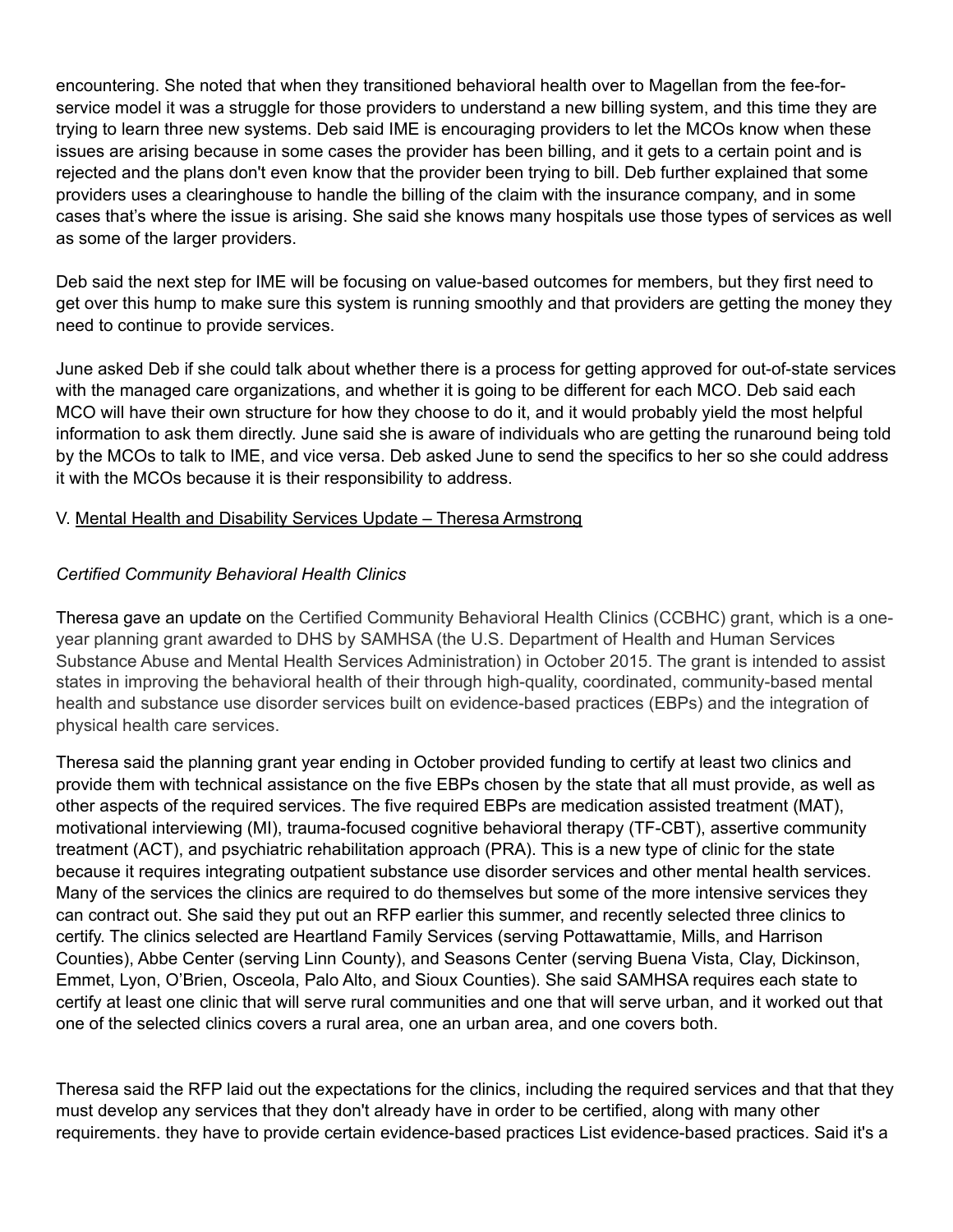encountering. She noted that when they transitioned behavioral health over to Magellan from the fee-forservice model it was a struggle for those providers to understand a new billing system, and this time they are trying to learn three new systems. Deb said IME is encouraging providers to let the MCOs know when these issues are arising because in some cases the provider has been billing, and it gets to a certain point and is rejected and the plans don't even know that the provider been trying to bill. Deb further explained that some providers uses a clearinghouse to handle the billing of the claim with the insurance company, and in some cases that's where the issue is arising. She said she knows many hospitals use those types of services as well as some of the larger providers.

Deb said the next step for IME will be focusing on value-based outcomes for members, but they first need to get over this hump to make sure this system is running smoothly and that providers are getting the money they need to continue to provide services.

June asked Deb if she could talk about whether there is a process for getting approved for out-of-state services with the managed care organizations, and whether it is going to be different for each MCO. Deb said each MCO will have their own structure for how they choose to do it, and it would probably yield the most helpful information to ask them directly. June said she is aware of individuals who are getting the runaround being told by the MCOs to talk to IME, and vice versa. Deb asked June to send the specifics to her so she could address it with the MCOs because it is their responsibility to address.

# V. Mental Health and Disability Services Update – Theresa Armstrong

# *Certified Community Behavioral Health Clinics*

Theresa gave an update on the Certified Community Behavioral Health Clinics (CCBHC) grant, which is a oneyear planning grant awarded to DHS by SAMHSA (the U.S. Department of Health and Human Services Substance Abuse and Mental Health Services Administration) in October 2015. The grant is intended to assist states in improving the behavioral health of their through high-quality, coordinated, community-based mental health and substance use disorder services built on evidence-based practices (EBPs) and the integration of physical health care services.

Theresa said the planning grant year ending in October provided funding to certify at least two clinics and provide them with technical assistance on the five EBPs chosen by the state that all must provide, as well as other aspects of the required services. The five required EBPs are medication assisted treatment (MAT), motivational interviewing (MI), trauma-focused cognitive behavioral therapy (TF-CBT), assertive community treatment (ACT), and psychiatric rehabilitation approach (PRA). This is a new type of clinic for the state because it requires integrating outpatient substance use disorder services and other mental health services. Many of the services the clinics are required to do themselves but some of the more intensive services they can contract out. She said they put out an RFP earlier this summer, and recently selected three clinics to certify. The clinics selected are Heartland Family Services (serving Pottawattamie, Mills, and Harrison Counties), Abbe Center (serving Linn County), and Seasons Center (serving Buena Vista, Clay, Dickinson, Emmet, Lyon, O'Brien, Osceola, Palo Alto, and Sioux Counties). She said SAMHSA requires each state to certify at least one clinic that will serve rural communities and one that will serve urban, and it worked out that one of the selected clinics covers a rural area, one an urban area, and one covers both.

Theresa said the RFP laid out the expectations for the clinics, including the required services and that that they must develop any services that they don't already have in order to be certified, along with many other requirements. they have to provide certain evidence-based practices List evidence-based practices. Said it's a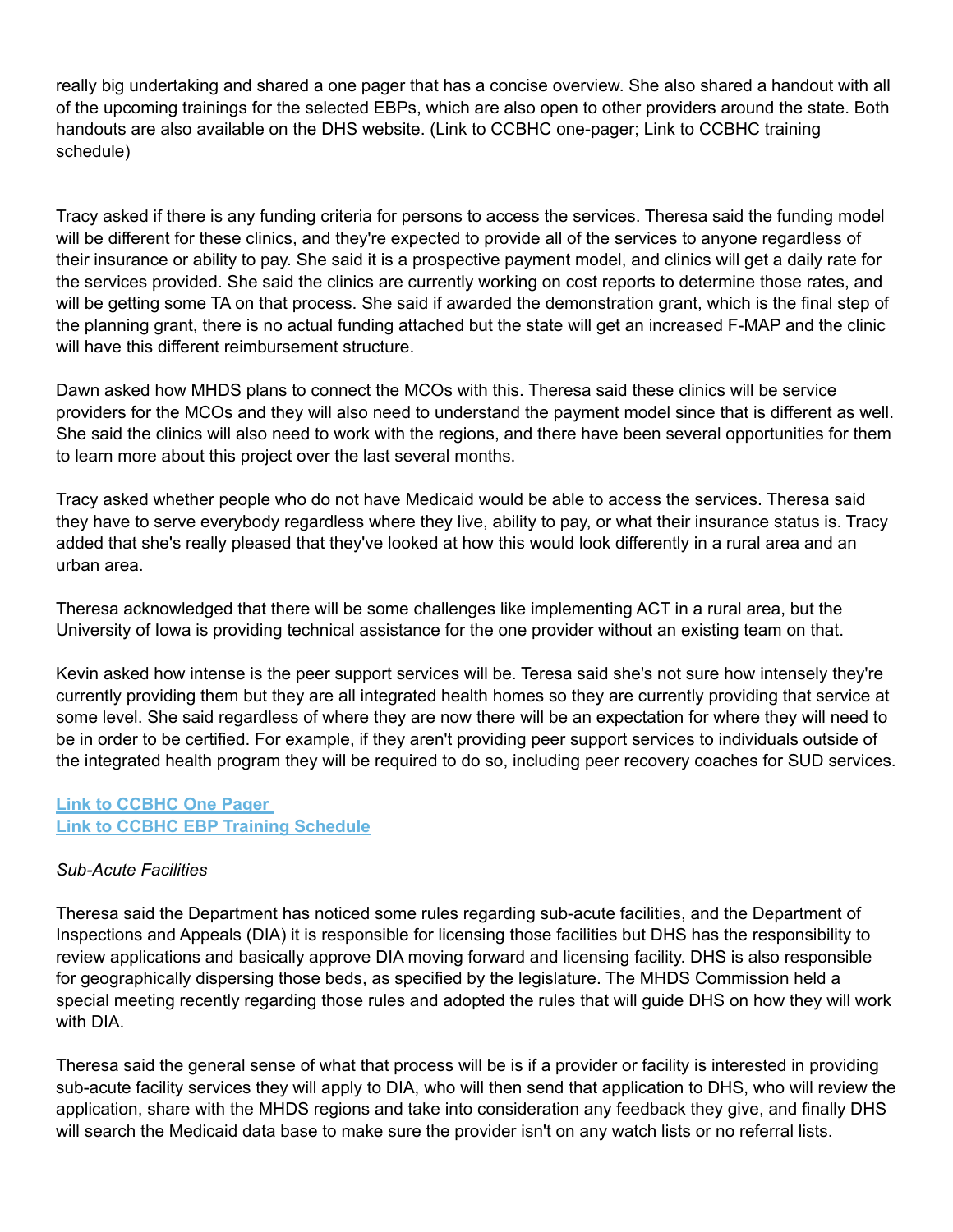really big undertaking and shared a one pager that has a concise overview. She also shared a handout with all of the upcoming trainings for the selected EBPs, which are also open to other providers around the state. Both handouts are also available on the DHS website. (Link to CCBHC one-pager; Link to CCBHC training schedule)

Tracy asked if there is any funding criteria for persons to access the services. Theresa said the funding model will be different for these clinics, and they're expected to provide all of the services to anyone regardless of their insurance or ability to pay. She said it is a prospective payment model, and clinics will get a daily rate for the services provided. She said the clinics are currently working on cost reports to determine those rates, and will be getting some TA on that process. She said if awarded the demonstration grant, which is the final step of the planning grant, there is no actual funding attached but the state will get an increased F-MAP and the clinic will have this different reimbursement structure.

Dawn asked how MHDS plans to connect the MCOs with this. Theresa said these clinics will be service providers for the MCOs and they will also need to understand the payment model since that is different as well. She said the clinics will also need to work with the regions, and there have been several opportunities for them to learn more about this project over the last several months.

Tracy asked whether people who do not have Medicaid would be able to access the services. Theresa said they have to serve everybody regardless where they live, ability to pay, or what their insurance status is. Tracy added that she's really pleased that they've looked at how this would look differently in a rural area and an urban area.

Theresa acknowledged that there will be some challenges like implementing ACT in a rural area, but the University of Iowa is providing technical assistance for the one provider without an existing team on that.

Kevin asked how intense is the peer support services will be. Teresa said she's not sure how intensely they're currently providing them but they are all integrated health homes so they are currently providing that service at some level. She said regardless of where they are now there will be an expectation for where they will need to be in order to be certified. For example, if they aren't providing peer support services to individuals outside of the integrated health program they will be required to do so, including peer recovery coaches for SUD services.

# **[Link to CCBHC One Pager](https://dhs.iowa.gov/sites/default/files/MHDS-CCBHC-fact-sheet.pdf)  [Link to CCBHC EBP Training Schedule](https://dhs.iowa.gov/sites/default/files/MHDS-EBP-Training-Schedule-6.27.16.pdf)**

# *Sub-Acute Facilities*

Theresa said the Department has noticed some rules regarding sub-acute facilities, and the Department of Inspections and Appeals (DIA) it is responsible for licensing those facilities but DHS has the responsibility to review applications and basically approve DIA moving forward and licensing facility. DHS is also responsible for geographically dispersing those beds, as specified by the legislature. The MHDS Commission held a special meeting recently regarding those rules and adopted the rules that will guide DHS on how they will work with DIA.

Theresa said the general sense of what that process will be is if a provider or facility is interested in providing sub-acute facility services they will apply to DIA, who will then send that application to DHS, who will review the application, share with the MHDS regions and take into consideration any feedback they give, and finally DHS will search the Medicaid data base to make sure the provider isn't on any watch lists or no referral lists.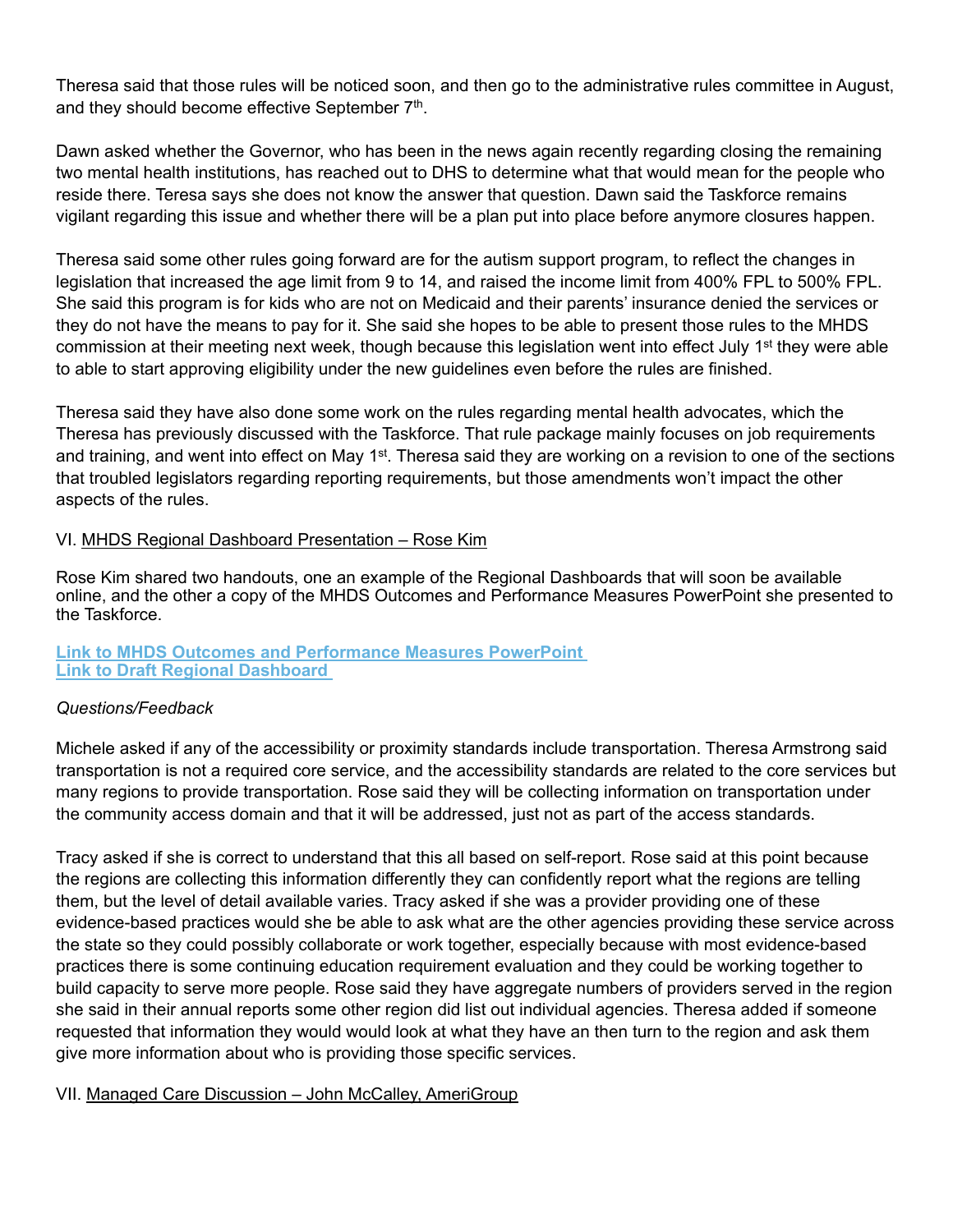Theresa said that those rules will be noticed soon, and then go to the administrative rules committee in August, and they should become effective September 7<sup>th</sup>.

Dawn asked whether the Governor, who has been in the news again recently regarding closing the remaining two mental health institutions, has reached out to DHS to determine what that would mean for the people who reside there. Teresa says she does not know the answer that question. Dawn said the Taskforce remains vigilant regarding this issue and whether there will be a plan put into place before anymore closures happen.

Theresa said some other rules going forward are for the autism support program, to reflect the changes in legislation that increased the age limit from 9 to 14, and raised the income limit from 400% FPL to 500% FPL. She said this program is for kids who are not on Medicaid and their parents' insurance denied the services or they do not have the means to pay for it. She said she hopes to be able to present those rules to the MHDS commission at their meeting next week, though because this legislation went into effect July 1<sup>st</sup> they were able to able to start approving eligibility under the new guidelines even before the rules are finished.

Theresa said they have also done some work on the rules regarding mental health advocates, which the Theresa has previously discussed with the Taskforce. That rule package mainly focuses on job requirements and training, and went into effect on May 1<sup>st</sup>. Theresa said they are working on a revision to one of the sections that troubled legislators regarding reporting requirements, but those amendments won't impact the other aspects of the rules.

## VI. MHDS Regional Dashboard Presentation – Rose Kim

Rose Kim shared two handouts, one an example of the Regional Dashboards that will soon be available online, and the other a copy of the MHDS Outcomes and Performance Measures PowerPoint she presented to the Taskforce.

## **[Link to MHDS Outcomes and Performance Measures PowerPoint](http://www.olmsteadrealchoicesia.org/wp-content/uploads/2016/09/MHDS-Dashboard-Presentation_July-2016.pdf)  [Link to Draft Regional Dashboard](https://dhs.iowa.gov/sites/default/files/MHDS-Draft-Regional-Dashboard.pdf)**

## *Questions/Feedback*

Michele asked if any of the accessibility or proximity standards include transportation. Theresa Armstrong said transportation is not a required core service, and the accessibility standards are related to the core services but many regions to provide transportation. Rose said they will be collecting information on transportation under the community access domain and that it will be addressed, just not as part of the access standards.

Tracy asked if she is correct to understand that this all based on self-report. Rose said at this point because the regions are collecting this information differently they can confidently report what the regions are telling them, but the level of detail available varies. Tracy asked if she was a provider providing one of these evidence-based practices would she be able to ask what are the other agencies providing these service across the state so they could possibly collaborate or work together, especially because with most evidence-based practices there is some continuing education requirement evaluation and they could be working together to build capacity to serve more people. Rose said they have aggregate numbers of providers served in the region she said in their annual reports some other region did list out individual agencies. Theresa added if someone requested that information they would would look at what they have an then turn to the region and ask them give more information about who is providing those specific services.

## VII. Managed Care Discussion - John McCalley, AmeriGroup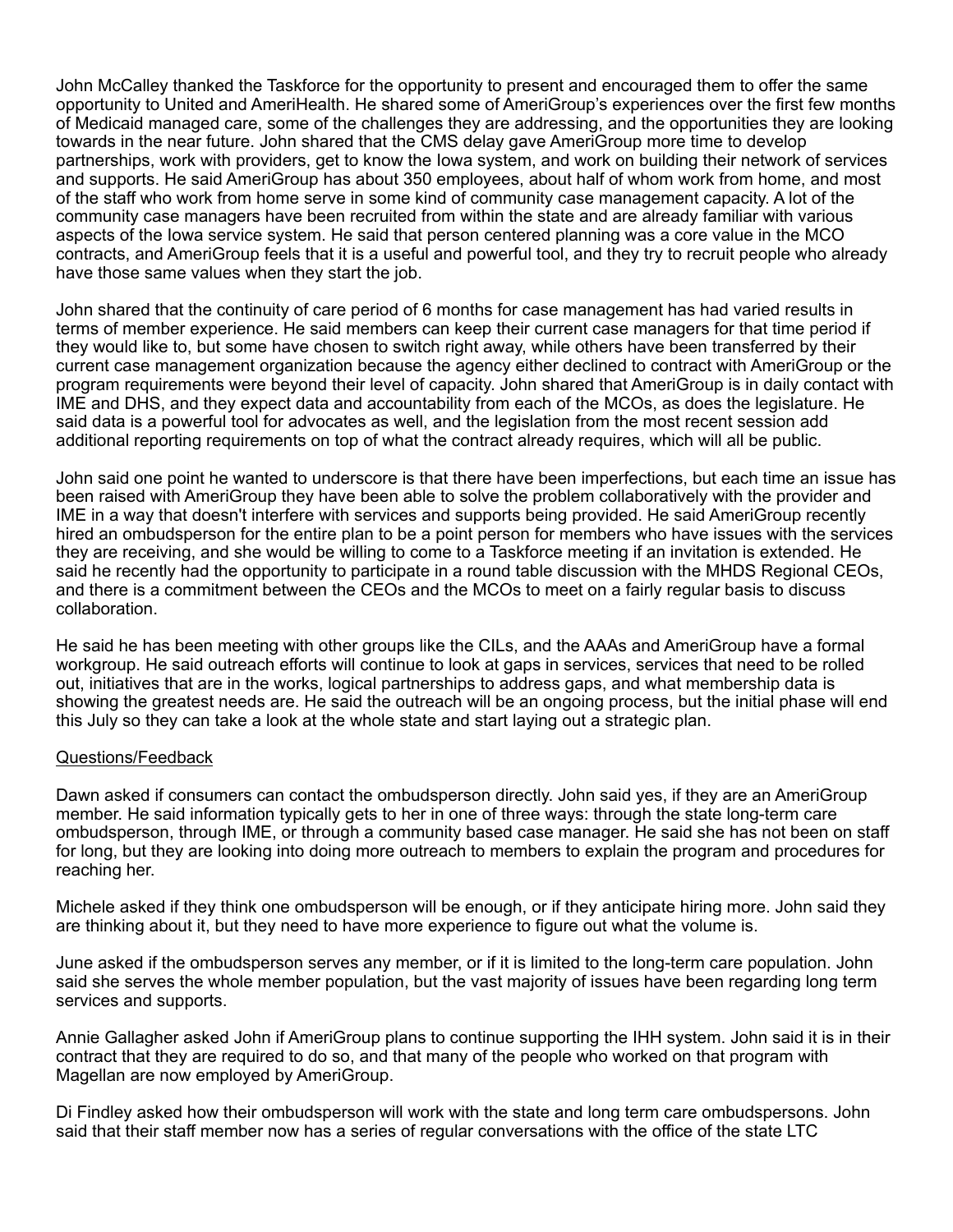John McCalley thanked the Taskforce for the opportunity to present and encouraged them to offer the same opportunity to United and AmeriHealth. He shared some of AmeriGroup's experiences over the first few months of Medicaid managed care, some of the challenges they are addressing, and the opportunities they are looking towards in the near future. John shared that the CMS delay gave AmeriGroup more time to develop partnerships, work with providers, get to know the Iowa system, and work on building their network of services and supports. He said AmeriGroup has about 350 employees, about half of whom work from home, and most of the staff who work from home serve in some kind of community case management capacity. A lot of the community case managers have been recruited from within the state and are already familiar with various aspects of the Iowa service system. He said that person centered planning was a core value in the MCO contracts, and AmeriGroup feels that it is a useful and powerful tool, and they try to recruit people who already have those same values when they start the job.

John shared that the continuity of care period of 6 months for case management has had varied results in terms of member experience. He said members can keep their current case managers for that time period if they would like to, but some have chosen to switch right away, while others have been transferred by their current case management organization because the agency either declined to contract with AmeriGroup or the program requirements were beyond their level of capacity. John shared that AmeriGroup is in daily contact with IME and DHS, and they expect data and accountability from each of the MCOs, as does the legislature. He said data is a powerful tool for advocates as well, and the legislation from the most recent session add additional reporting requirements on top of what the contract already requires, which will all be public.

John said one point he wanted to underscore is that there have been imperfections, but each time an issue has been raised with AmeriGroup they have been able to solve the problem collaboratively with the provider and IME in a way that doesn't interfere with services and supports being provided. He said AmeriGroup recently hired an ombudsperson for the entire plan to be a point person for members who have issues with the services they are receiving, and she would be willing to come to a Taskforce meeting if an invitation is extended. He said he recently had the opportunity to participate in a round table discussion with the MHDS Regional CEOs, and there is a commitment between the CEOs and the MCOs to meet on a fairly regular basis to discuss collaboration.

He said he has been meeting with other groups like the CILs, and the AAAs and AmeriGroup have a formal workgroup. He said outreach efforts will continue to look at gaps in services, services that need to be rolled out, initiatives that are in the works, logical partnerships to address gaps, and what membership data is showing the greatest needs are. He said the outreach will be an ongoing process, but the initial phase will end this July so they can take a look at the whole state and start laying out a strategic plan.

#### Questions/Feedback

Dawn asked if consumers can contact the ombudsperson directly. John said yes, if they are an AmeriGroup member. He said information typically gets to her in one of three ways: through the state long-term care ombudsperson, through IME, or through a community based case manager. He said she has not been on staff for long, but they are looking into doing more outreach to members to explain the program and procedures for reaching her.

Michele asked if they think one ombudsperson will be enough, or if they anticipate hiring more. John said they are thinking about it, but they need to have more experience to figure out what the volume is.

June asked if the ombudsperson serves any member, or if it is limited to the long-term care population. John said she serves the whole member population, but the vast majority of issues have been regarding long term services and supports.

Annie Gallagher asked John if AmeriGroup plans to continue supporting the IHH system. John said it is in their contract that they are required to do so, and that many of the people who worked on that program with Magellan are now employed by AmeriGroup.

Di Findley asked how their ombudsperson will work with the state and long term care ombudspersons. John said that their staff member now has a series of regular conversations with the office of the state LTC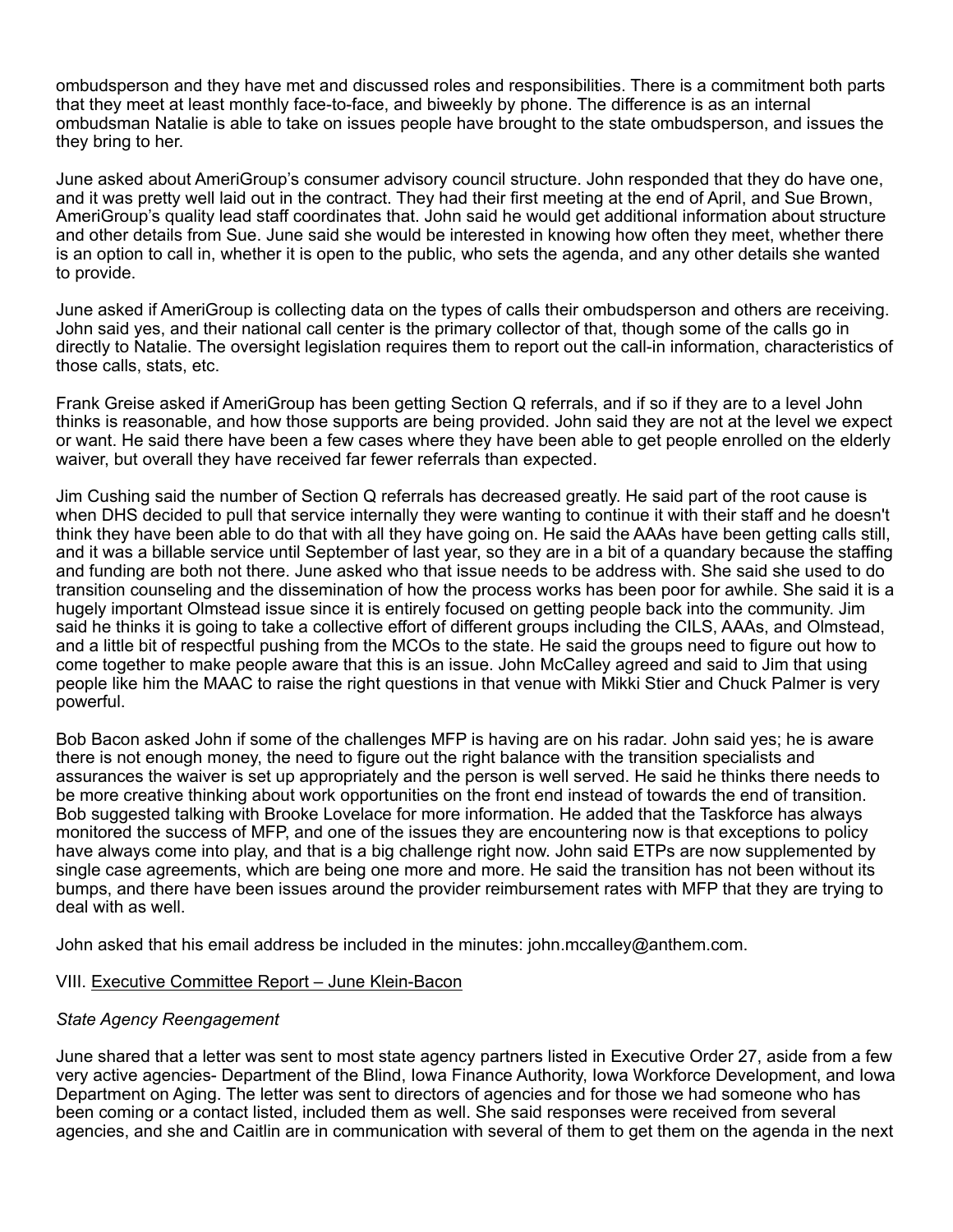ombudsperson and they have met and discussed roles and responsibilities. There is a commitment both parts that they meet at least monthly face-to-face, and biweekly by phone. The difference is as an internal ombudsman Natalie is able to take on issues people have brought to the state ombudsperson, and issues the they bring to her.

June asked about AmeriGroup's consumer advisory council structure. John responded that they do have one, and it was pretty well laid out in the contract. They had their first meeting at the end of April, and Sue Brown, AmeriGroup's quality lead staff coordinates that. John said he would get additional information about structure and other details from Sue. June said she would be interested in knowing how often they meet, whether there is an option to call in, whether it is open to the public, who sets the agenda, and any other details she wanted to provide.

June asked if AmeriGroup is collecting data on the types of calls their ombudsperson and others are receiving. John said yes, and their national call center is the primary collector of that, though some of the calls go in directly to Natalie. The oversight legislation requires them to report out the call-in information, characteristics of those calls, stats, etc.

Frank Greise asked if AmeriGroup has been getting Section Q referrals, and if so if they are to a level John thinks is reasonable, and how those supports are being provided. John said they are not at the level we expect or want. He said there have been a few cases where they have been able to get people enrolled on the elderly waiver, but overall they have received far fewer referrals than expected.

Jim Cushing said the number of Section Q referrals has decreased greatly. He said part of the root cause is when DHS decided to pull that service internally they were wanting to continue it with their staff and he doesn't think they have been able to do that with all they have going on. He said the AAAs have been getting calls still, and it was a billable service until September of last year, so they are in a bit of a quandary because the staffing and funding are both not there. June asked who that issue needs to be address with. She said she used to do transition counseling and the dissemination of how the process works has been poor for awhile. She said it is a hugely important Olmstead issue since it is entirely focused on getting people back into the community. Jim said he thinks it is going to take a collective effort of different groups including the CILS, AAAs, and Olmstead, and a little bit of respectful pushing from the MCOs to the state. He said the groups need to figure out how to come together to make people aware that this is an issue. John McCalley agreed and said to Jim that using people like him the MAAC to raise the right questions in that venue with Mikki Stier and Chuck Palmer is very powerful.

Bob Bacon asked John if some of the challenges MFP is having are on his radar. John said yes; he is aware there is not enough money, the need to figure out the right balance with the transition specialists and assurances the waiver is set up appropriately and the person is well served. He said he thinks there needs to be more creative thinking about work opportunities on the front end instead of towards the end of transition. Bob suggested talking with Brooke Lovelace for more information. He added that the Taskforce has always monitored the success of MFP, and one of the issues they are encountering now is that exceptions to policy have always come into play, and that is a big challenge right now. John said ETPs are now supplemented by single case agreements, which are being one more and more. He said the transition has not been without its bumps, and there have been issues around the provider reimbursement rates with MFP that they are trying to deal with as well.

John asked that his email address be included in the minutes: john.mccalley@anthem.com.

#### VIII. Executive Committee Report – June Klein-Bacon

#### *State Agency Reengagement*

June shared that a letter was sent to most state agency partners listed in Executive Order 27, aside from a few very active agencies- Department of the Blind, Iowa Finance Authority, Iowa Workforce Development, and Iowa Department on Aging. The letter was sent to directors of agencies and for those we had someone who has been coming or a contact listed, included them as well. She said responses were received from several agencies, and she and Caitlin are in communication with several of them to get them on the agenda in the next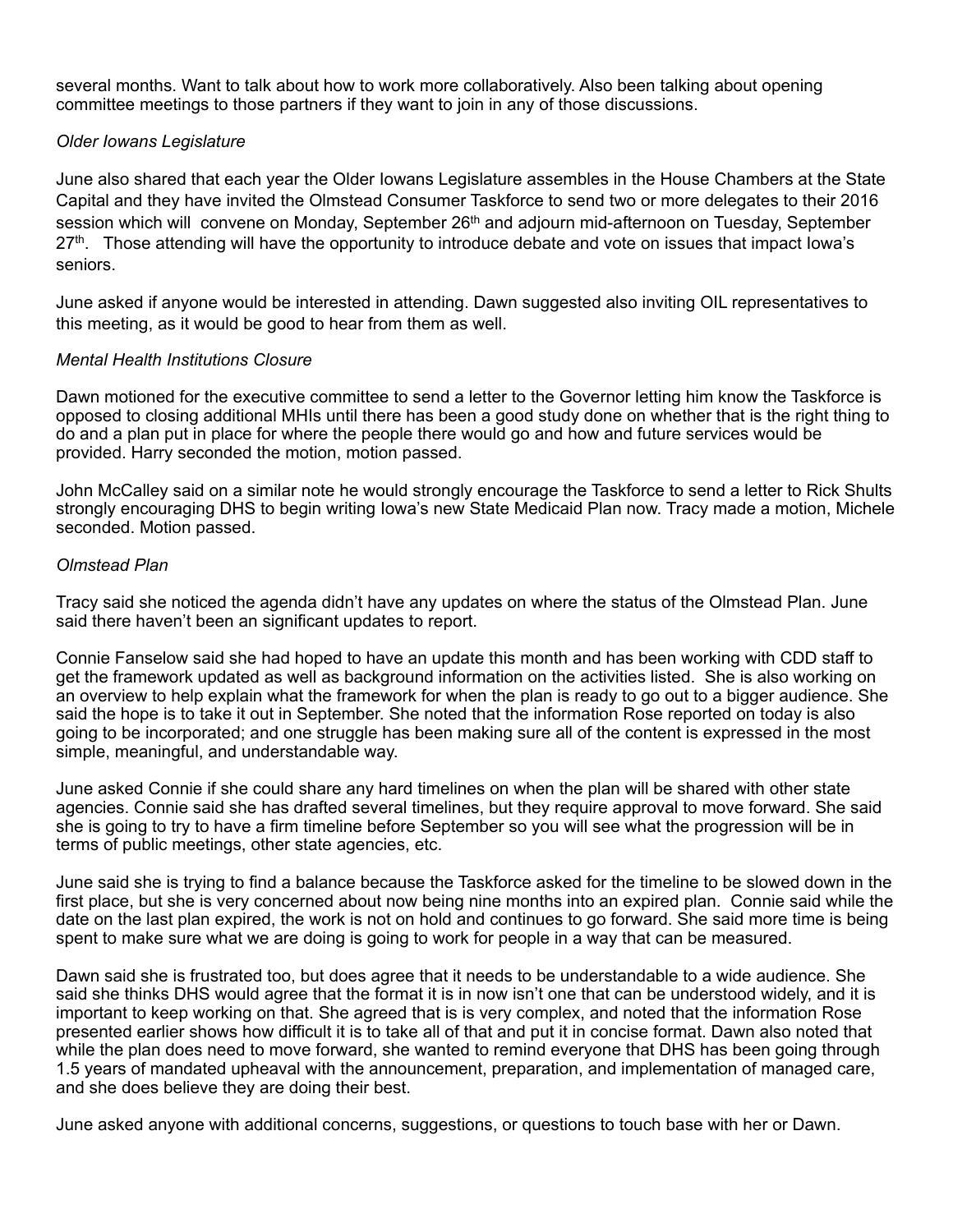several months. Want to talk about how to work more collaboratively. Also been talking about opening committee meetings to those partners if they want to join in any of those discussions.

## *Older Iowans Legislature*

June also shared that each year the Older Iowans Legislature assembles in the House Chambers at the State Capital and they have invited the Olmstead Consumer Taskforce to send two or more delegates to their 2016 session which will convene on Monday, September 26<sup>th</sup> and adjourn mid-afternoon on Tuesday, September  $27<sup>th</sup>$ . Those attending will have the opportunity to introduce debate and vote on issues that impact lowa's seniors.

June asked if anyone would be interested in attending. Dawn suggested also inviting OIL representatives to this meeting, as it would be good to hear from them as well.

#### *Mental Health Institutions Closure*

Dawn motioned for the executive committee to send a letter to the Governor letting him know the Taskforce is opposed to closing additional MHIs until there has been a good study done on whether that is the right thing to do and a plan put in place for where the people there would go and how and future services would be provided. Harry seconded the motion, motion passed.

John McCalley said on a similar note he would strongly encourage the Taskforce to send a letter to Rick Shults strongly encouraging DHS to begin writing Iowa's new State Medicaid Plan now. Tracy made a motion, Michele seconded. Motion passed.

#### *Olmstead Plan*

Tracy said she noticed the agenda didn't have any updates on where the status of the Olmstead Plan. June said there haven't been an significant updates to report.

Connie Fanselow said she had hoped to have an update this month and has been working with CDD staff to get the framework updated as well as background information on the activities listed. She is also working on an overview to help explain what the framework for when the plan is ready to go out to a bigger audience. She said the hope is to take it out in September. She noted that the information Rose reported on today is also going to be incorporated; and one struggle has been making sure all of the content is expressed in the most simple, meaningful, and understandable way.

June asked Connie if she could share any hard timelines on when the plan will be shared with other state agencies. Connie said she has drafted several timelines, but they require approval to move forward. She said she is going to try to have a firm timeline before September so you will see what the progression will be in terms of public meetings, other state agencies, etc.

June said she is trying to find a balance because the Taskforce asked for the timeline to be slowed down in the first place, but she is very concerned about now being nine months into an expired plan. Connie said while the date on the last plan expired, the work is not on hold and continues to go forward. She said more time is being spent to make sure what we are doing is going to work for people in a way that can be measured.

Dawn said she is frustrated too, but does agree that it needs to be understandable to a wide audience. She said she thinks DHS would agree that the format it is in now isn't one that can be understood widely, and it is important to keep working on that. She agreed that is is very complex, and noted that the information Rose presented earlier shows how difficult it is to take all of that and put it in concise format. Dawn also noted that while the plan does need to move forward, she wanted to remind everyone that DHS has been going through 1.5 years of mandated upheaval with the announcement, preparation, and implementation of managed care, and she does believe they are doing their best.

June asked anyone with additional concerns, suggestions, or questions to touch base with her or Dawn.